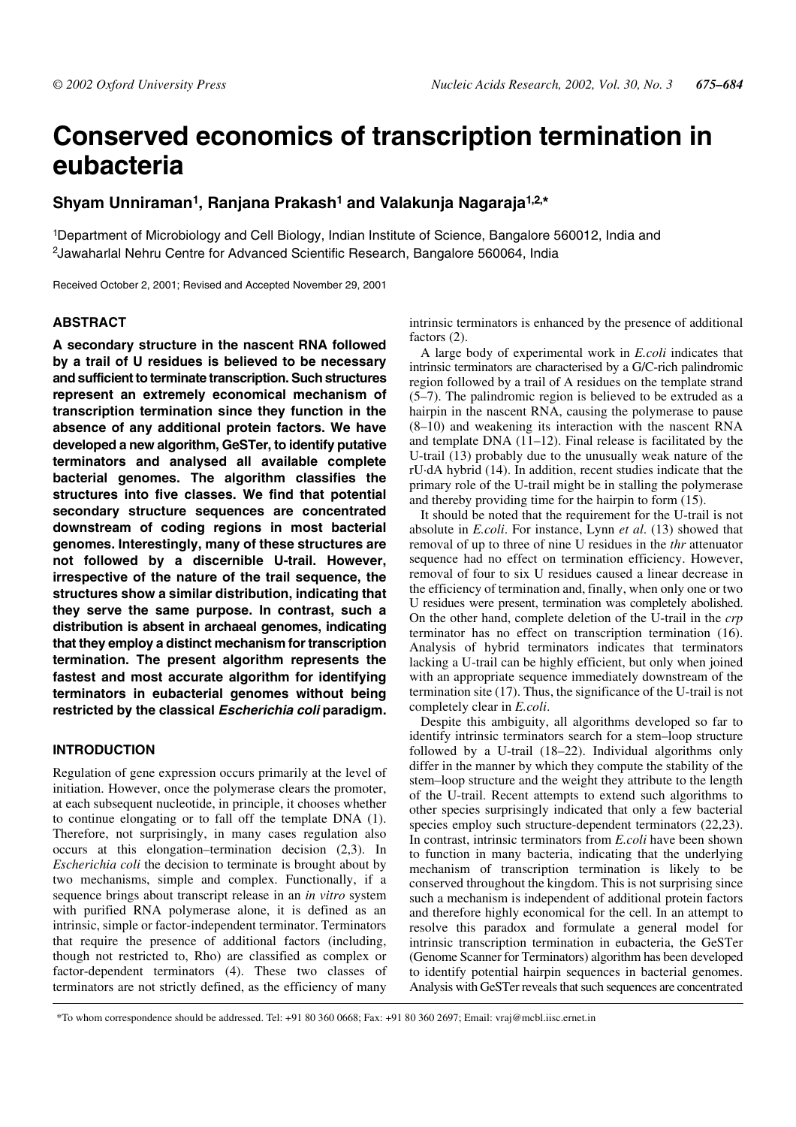# **Conserved economics of transcription termination in eubacteria**

# **Shyam Unniraman1, Ranjana Prakash1 and Valakunja Nagaraja1,2,\***

1Department of Microbiology and Cell Biology, Indian Institute of Science, Bangalore 560012, India and 2Jawaharlal Nehru Centre for Advanced Scientific Research, Bangalore 560064, India

Received October 2, 2001; Revised and Accepted November 29, 2001

# **ABSTRACT**

**A secondary structure in the nascent RNA followed by a trail of U residues is believed to be necessary and sufficient to terminate transcription. Such structures represent an extremely economical mechanism of transcription termination since they function in the absence of any additional protein factors. We have developed a new algorithm, GeSTer, to identify putative terminators and analysed all available complete bacterial genomes. The algorithm classifies the structures into five classes. We find that potential secondary structure sequences are concentrated downstream of coding regions in most bacterial genomes. Interestingly, many of these structures are not followed by a discernible U-trail. However, irrespective of the nature of the trail sequence, the structures show a similar distribution, indicating that they serve the same purpose. In contrast, such a distribution is absent in archaeal genomes, indicating that they employ a distinct mechanism for transcription termination. The present algorithm represents the fastest and most accurate algorithm for identifying terminators in eubacterial genomes without being restricted by the classical Escherichia coli paradigm.**

### **INTRODUCTION**

Regulation of gene expression occurs primarily at the level of initiation. However, once the polymerase clears the promoter, at each subsequent nucleotide, in principle, it chooses whether to continue elongating or to fall off the template DNA (1). Therefore, not surprisingly, in many cases regulation also occurs at this elongation–termination decision (2,3). In *Escherichia coli* the decision to terminate is brought about by two mechanisms, simple and complex. Functionally, if a sequence brings about transcript release in an *in vitro* system with purified RNA polymerase alone, it is defined as an intrinsic, simple or factor-independent terminator. Terminators that require the presence of additional factors (including, though not restricted to, Rho) are classified as complex or factor-dependent terminators (4). These two classes of terminators are not strictly defined, as the efficiency of many

intrinsic terminators is enhanced by the presence of additional factors (2).

A large body of experimental work in *E.coli* indicates that intrinsic terminators are characterised by a G/C-rich palindromic region followed by a trail of A residues on the template strand (5–7). The palindromic region is believed to be extruded as a hairpin in the nascent RNA, causing the polymerase to pause (8–10) and weakening its interaction with the nascent RNA and template DNA (11–12). Final release is facilitated by the U-trail (13) probably due to the unusually weak nature of the rU·dA hybrid (14). In addition, recent studies indicate that the primary role of the U-trail might be in stalling the polymerase and thereby providing time for the hairpin to form (15).

It should be noted that the requirement for the U-trail is not absolute in *E.coli*. For instance, Lynn *et al*. (13) showed that removal of up to three of nine U residues in the *thr* attenuator sequence had no effect on termination efficiency. However, removal of four to six U residues caused a linear decrease in the efficiency of termination and, finally, when only one or two U residues were present, termination was completely abolished. On the other hand, complete deletion of the U-trail in the *crp* terminator has no effect on transcription termination (16). Analysis of hybrid terminators indicates that terminators lacking a U-trail can be highly efficient, but only when joined with an appropriate sequence immediately downstream of the termination site (17). Thus, the significance of the U-trail is not completely clear in *E.coli*.

Despite this ambiguity, all algorithms developed so far to identify intrinsic terminators search for a stem–loop structure followed by a U-trail (18–22). Individual algorithms only differ in the manner by which they compute the stability of the stem–loop structure and the weight they attribute to the length of the U-trail. Recent attempts to extend such algorithms to other species surprisingly indicated that only a few bacterial species employ such structure-dependent terminators (22,23). In contrast, intrinsic terminators from *E.coli* have been shown to function in many bacteria, indicating that the underlying mechanism of transcription termination is likely to be conserved throughout the kingdom. This is not surprising since such a mechanism is independent of additional protein factors and therefore highly economical for the cell. In an attempt to resolve this paradox and formulate a general model for intrinsic transcription termination in eubacteria, the GeSTer (Genome Scanner for Terminators) algorithm has been developed to identify potential hairpin sequences in bacterial genomes. Analysis with GeSTer reveals that such sequences are concentrated

\*To whom correspondence should be addressed. Tel: +91 80 360 0668; Fax: +91 80 360 2697; Email: vraj@mcbl.iisc.ernet.in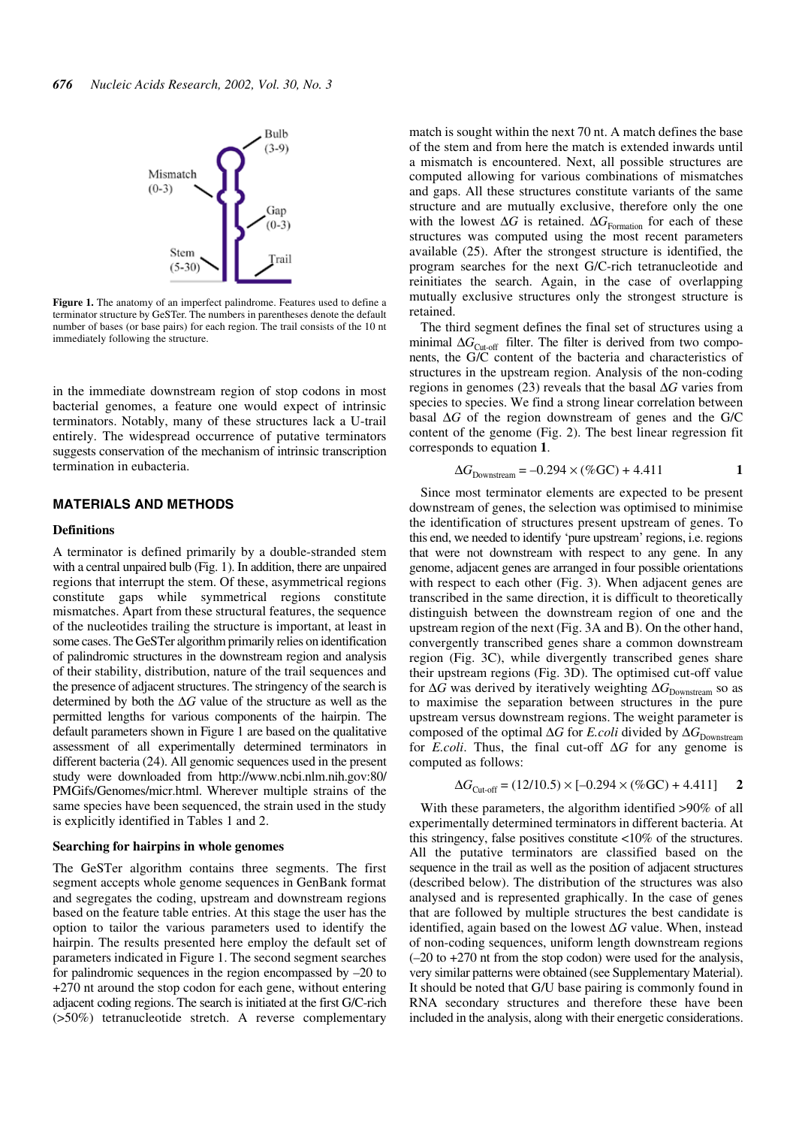

**Figure 1.** The anatomy of an imperfect palindrome. Features used to define a terminator structure by GeSTer. The numbers in parentheses denote the default number of bases (or base pairs) for each region. The trail consists of the 10 nt immediately following the structure.

in the immediate downstream region of stop codons in most bacterial genomes, a feature one would expect of intrinsic terminators. Notably, many of these structures lack a U-trail entirely. The widespread occurrence of putative terminators suggests conservation of the mechanism of intrinsic transcription termination in eubacteria.

# **MATERIALS AND METHODS**

#### **Definitions**

A terminator is defined primarily by a double-stranded stem with a central unpaired bulb (Fig. 1). In addition, there are unpaired regions that interrupt the stem. Of these, asymmetrical regions constitute gaps while symmetrical regions constitute mismatches. Apart from these structural features, the sequence of the nucleotides trailing the structure is important, at least in some cases. The GeSTer algorithm primarily relies on identification of palindromic structures in the downstream region and analysis of their stability, distribution, nature of the trail sequences and the presence of adjacent structures. The stringency of the search is determined by both the ∆*G* value of the structure as well as the permitted lengths for various components of the hairpin. The default parameters shown in Figure 1 are based on the qualitative assessment of all experimentally determined terminators in different bacteria (24). All genomic sequences used in the present study were downloaded from http://www.ncbi.nlm.nih.gov:80/ PMGifs/Genomes/micr.html. Wherever multiple strains of the same species have been sequenced, the strain used in the study is explicitly identified in Tables 1 and 2.

#### **Searching for hairpins in whole genomes**

The GeSTer algorithm contains three segments. The first segment accepts whole genome sequences in GenBank format and segregates the coding, upstream and downstream regions based on the feature table entries. At this stage the user has the option to tailor the various parameters used to identify the hairpin. The results presented here employ the default set of parameters indicated in Figure 1. The second segment searches for palindromic sequences in the region encompassed by –20 to +270 nt around the stop codon for each gene, without entering adjacent coding regions. The search is initiated at the first G/C-rich (>50%) tetranucleotide stretch. A reverse complementary

match is sought within the next 70 nt. A match defines the base of the stem and from here the match is extended inwards until a mismatch is encountered. Next, all possible structures are computed allowing for various combinations of mismatches and gaps. All these structures constitute variants of the same structure and are mutually exclusive, therefore only the one with the lowest Δ*G* is retained. Δ*G*<sub>Formation</sub> for each of these structures was computed using the most recent parameters available (25). After the strongest structure is identified, the program searches for the next G/C-rich tetranucleotide and reinitiates the search. Again, in the case of overlapping mutually exclusive structures only the strongest structure is retained.

The third segment defines the final set of structures using a minimal ∆*G*<sub>Cut-off</sub> filter. The filter is derived from two components, the G/C content of the bacteria and characteristics of structures in the upstream region. Analysis of the non-coding regions in genomes (23) reveals that the basal ∆*G* varies from species to species. We find a strong linear correlation between basal ∆*G* of the region downstream of genes and the G/C content of the genome (Fig. 2). The best linear regression fit corresponds to equation **1**.

$$
\Delta G_{\text{Downstream}} = -0.294 \times (\% \text{GC}) + 4.411 \tag{1}
$$

Since most terminator elements are expected to be present downstream of genes, the selection was optimised to minimise the identification of structures present upstream of genes. To this end, we needed to identify 'pure upstream' regions, i.e. regions that were not downstream with respect to any gene. In any genome, adjacent genes are arranged in four possible orientations with respect to each other (Fig. 3). When adjacent genes are transcribed in the same direction, it is difficult to theoretically distinguish between the downstream region of one and the upstream region of the next (Fig. 3A and B). On the other hand, convergently transcribed genes share a common downstream region (Fig. 3C), while divergently transcribed genes share their upstream regions (Fig. 3D). The optimised cut-off value for ∆*G* was derived by iteratively weighting ∆ $G_{\text{Downstream}}$  so as to maximise the separation between structures in the pure upstream versus downstream regions. The weight parameter is composed of the optimal ∆*G* for *E.coli* divided by ∆*G*<sub>Downstream</sub> for *E.coli*. Thus, the final cut-off ∆*G* for any genome is computed as follows:

$$
\Delta G_{\text{Cut-off}} = (12/10.5) \times [-0.294 \times (\% \text{GC}) + 4.411] \qquad \textbf{2}
$$

With these parameters, the algorithm identified >90% of all experimentally determined terminators in different bacteria. At this stringency, false positives constitute <10% of the structures. All the putative terminators are classified based on the sequence in the trail as well as the position of adjacent structures (described below). The distribution of the structures was also analysed and is represented graphically. In the case of genes that are followed by multiple structures the best candidate is identified, again based on the lowest ∆*G* value. When, instead of non-coding sequences, uniform length downstream regions (–20 to +270 nt from the stop codon) were used for the analysis, very similar patterns were obtained (see Supplementary Material). It should be noted that G/U base pairing is commonly found in RNA secondary structures and therefore these have been included in the analysis, along with their energetic considerations.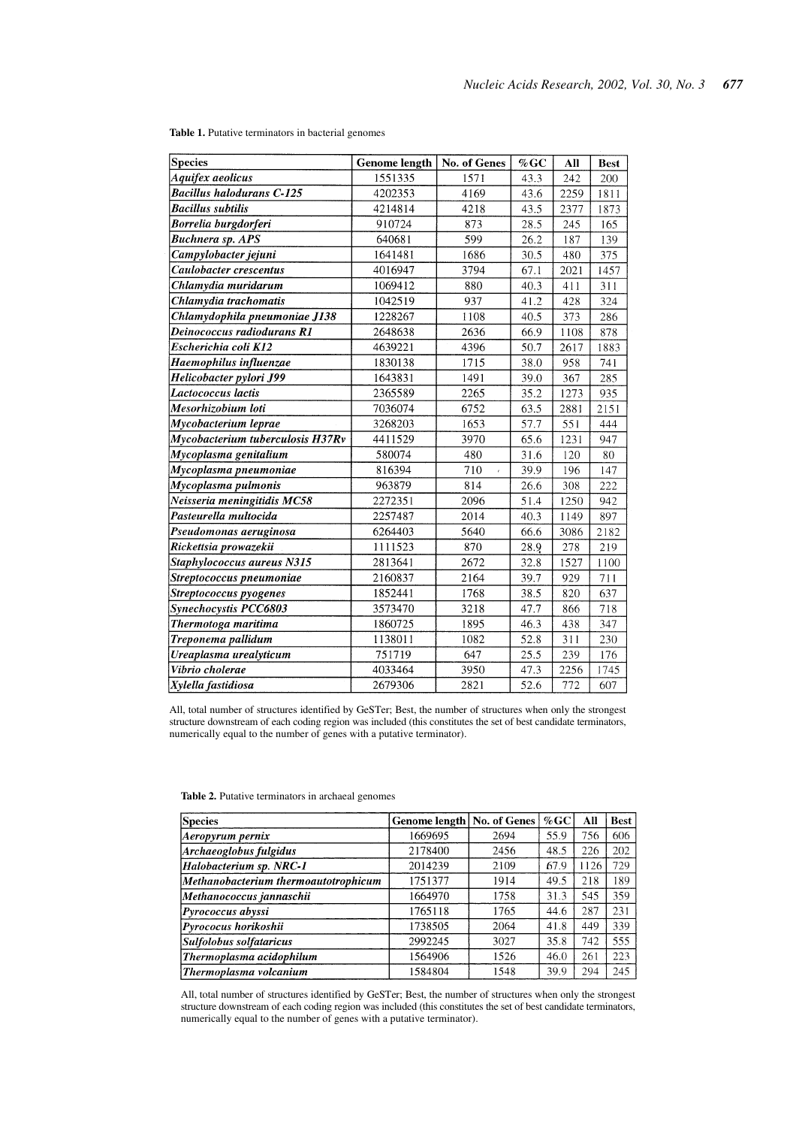| Species                          | <b>Genome length</b> | No. of Genes | $%$ GC | All  | <b>Best</b> |
|----------------------------------|----------------------|--------------|--------|------|-------------|
| Aquifex aeolicus                 | 1551335              | 1571         | 43.3   | 242  | 200         |
| <b>Bacillus halodurans C-125</b> | 4202353              | 4169         | 43.6   | 2259 | 1811        |
| <b>Bacillus subtilis</b>         | 4214814              | 4218         | 43.5   | 2377 | 1873        |
| Borrelia burgdorferi             | 910724               | 873          | 28.5   | 245  | 165         |
| <b>Buchnera sp. APS</b>          | 640681               | 599          | 26.2   | 187  | 139         |
| Campylobacter jejuni             | 1641481              | 1686         | 30.5   | 480  | 375         |
| Caulobacter crescentus           | 4016947              | 3794         | 67.1   | 2021 | 1457        |
| Chlamydia muridarum              | 1069412              | 880          | 40.3   | 411  | 311         |
| Chlamydia trachomatis            | 1042519              | 937          | 41.2   | 428  | 324         |
| Chlamydophila pneumoniae J138    | 1228267              | 1108         | 40.5   | 373  | 286         |
| Deinococcus radiodurans R1       | 2648638              | 2636         | 66.9   | 1108 | 878         |
| Escherichia coli K12             | 4639221              | 4396         | 50.7   | 2617 | 1883        |
| Haemophilus influenzae           | 1830138              | 1715         | 38.0   | 958  | 741         |
| Helicobacter pylori J99          | 1643831              | 1491         | 39.0   | 367  | 285         |
| Lactococcus lactis               | 2365589              | 2265         | 35.2   | 1273 | 935         |
| Mesorhizobium loti               | 7036074              | 6752         | 63.5   | 2881 | 2151        |
| Mycobacterium leprae             | 3268203              | 1653         | 57.7   | 551  | 444         |
| Mycobacterium tuberculosis H37Rv | 4411529              | 3970         | 65.6   | 1231 | 947         |
| Mycoplasma genitalium            | 580074               | 480          | 31.6   | 120  | 80          |
| Mycoplasma pneumoniae            | 816394               | 710          | 39.9   | 196  | 147         |
| Mycoplasma pulmonis              | 963879               | 814          | 26.6   | 308  | 222         |
| Neisseria meningitidis MC58      | 2272351              | 2096         | 51.4   | 1250 | 942         |
| Pasteurella multocida            | 2257487              | 2014         | 40.3   | 1149 | 897         |
| Pseudomonas aeruginosa           | 6264403              | 5640         | 66.6   | 3086 | 2182        |
| Rickettsia prowazekii            | 1111523              | 870          | 28.9   | 278  | 219         |
| Staphylococcus aureus N315       | 2813641              | 2672         | 32.8   | 1527 | 1100        |
| Streptococcus pneumoniae         | 2160837              | 2164         | 39.7   | 929  | 711         |
| Streptococcus pyogenes           | 1852441              | 1768         | 38.5   | 820  | 637         |
| Synechocystis PCC6803            | 3573470              | 3218         | 47.7   | 866  | 718         |
| Thermotoga maritima              | 1860725              | 1895         | 46.3   | 438  | 347         |
| Treponema pallidum               | 1138011              | 1082         | 52.8   | 311  | 230         |
| Ureaplasma urealyticum           | 751719               | 647          | 25.5   | 239  | 176         |
| Vibrio cholerae                  | 4033464              | 3950         | 47.3   | 2256 | 1745        |
| Xylella fastidiosa               | 2679306              | 2821         | 52.6   | 772  | 607         |

**Table 1.** Putative terminators in bacterial genomes

All, total number of structures identified by GeSTer; Best, the number of structures when only the strongest structure downstream of each coding region was included (this constitutes the set of best candidate terminators, numerically equal to the number of genes with a putative terminator).

| <b>Species</b>                       | Genome length   No. of Genes |      | $%$ GC | All  | <b>Best</b> |
|--------------------------------------|------------------------------|------|--------|------|-------------|
| Aeropyrum pernix                     | 1669695                      | 2694 | 55.9   | 756  | 606         |
| Archaeoglobus fulgidus               | 2178400                      | 2456 | 48.5   | 226  | 202         |
| Halobacterium sp. NRC-1              | 2014239                      | 2109 | 67.9   | 1126 | 729         |
| Methanobacterium thermoautotrophicum | 1751377                      | 1914 | 49.5   | 218  | 189         |
| Methanococcus jannaschii             | 1664970                      | 1758 | 31.3   | 545  | 359         |
| Pyrococcus abyssi                    | 1765118                      | 1765 | 44.6   | 287  | 231         |
| Pyrococus horikoshii                 | 1738505                      | 2064 | 41.8   | 449  | 339         |
| Sulfolobus solfataricus              | 2992245                      | 3027 | 35.8   | 742  | 555         |
| Thermoplasma acidophilum             | 1564906                      | 1526 | 46.0   | 261  | 223         |
| Thermoplasma volcanium               | 1584804                      | 1548 | 39.9   | 294  | 245         |

**Table 2.** Putative terminators in archaeal genomes

All, total number of structures identified by GeSTer; Best, the number of structures when only the strongest structure downstream of each coding region was included (this constitutes the set of best candidate terminators, numerically equal to the number of genes with a putative terminator).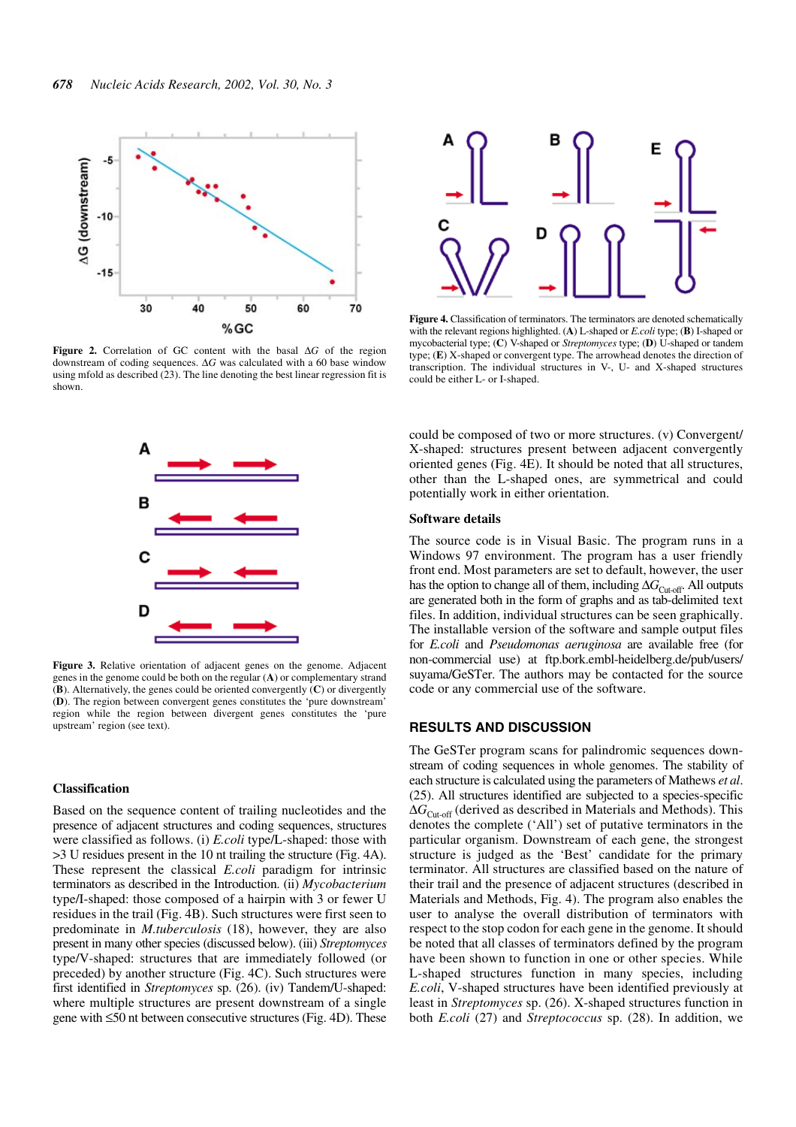

**Figure 2.** Correlation of GC content with the basal ∆*G* of the region downstream of coding sequences. ∆*G* was calculated with a 60 base window using mfold as described (23). The line denoting the best linear regression fit is shown.



Figure 3. Relative orientation of adjacent genes on the genome. Adjacent genes in the genome could be both on the regular (**A**) or complementary strand (**B**). Alternatively, the genes could be oriented convergently (**C**) or divergently (**D**). The region between convergent genes constitutes the 'pure downstream' region while the region between divergent genes constitutes the 'pure upstream' region (see text).

## **Classification**

Based on the sequence content of trailing nucleotides and the presence of adjacent structures and coding sequences, structures were classified as follows. (i) *E.coli* type/L-shaped: those with >3 U residues present in the 10 nt trailing the structure (Fig. 4A). These represent the classical *E.coli* paradigm for intrinsic terminators as described in the Introduction. (ii) *Mycobacterium* type/I-shaped: those composed of a hairpin with 3 or fewer U residues in the trail (Fig. 4B). Such structures were first seen to predominate in *M.tuberculosis* (18), however, they are also present in many other species (discussed below). (iii) *Streptomyces* type/V-shaped: structures that are immediately followed (or preceded) by another structure (Fig. 4C). Such structures were first identified in *Streptomyces* sp. (26). (iv) Tandem/U-shaped: where multiple structures are present downstream of a single gene with ≤50 nt between consecutive structures (Fig. 4D). These



**Figure 4.** Classification of terminators. The terminators are denoted schematically with the relevant regions highlighted. (**A**) L-shaped or *E.coli* type; (**B**) I-shaped or mycobacterial type; (**C**) V-shaped or *Streptomyces* type; (**D**) U-shaped or tandem type; (**E**) X-shaped or convergent type. The arrowhead denotes the direction of transcription. The individual structures in V-, U- and X-shaped structures could be either L- or I-shaped.

could be composed of two or more structures. (v) Convergent/ X-shaped: structures present between adjacent convergently oriented genes (Fig. 4E). It should be noted that all structures, other than the L-shaped ones, are symmetrical and could potentially work in either orientation.

#### **Software details**

The source code is in Visual Basic. The program runs in a Windows 97 environment. The program has a user friendly front end. Most parameters are set to default, however, the user has the option to change all of them, including ∆*G*<sub>Cut-off</sub>. All outputs are generated both in the form of graphs and as tab-delimited text files. In addition, individual structures can be seen graphically. The installable version of the software and sample output files for *E.coli* and *Pseudomonas aeruginosa* are available free (for non-commercial use) at ftp.bork.embl-heidelberg.de/pub/users/ suyama/GeSTer. The authors may be contacted for the source code or any commercial use of the software.

#### **RESULTS AND DISCUSSION**

The GeSTer program scans for palindromic sequences downstream of coding sequences in whole genomes. The stability of each structure is calculated using the parameters of Mathews *et al*. (25). All structures identified are subjected to a species-specific ∆*G*Cut-off (derived as described in Materials and Methods). This denotes the complete ('All') set of putative terminators in the particular organism. Downstream of each gene, the strongest structure is judged as the 'Best' candidate for the primary terminator. All structures are classified based on the nature of their trail and the presence of adjacent structures (described in Materials and Methods, Fig. 4). The program also enables the user to analyse the overall distribution of terminators with respect to the stop codon for each gene in the genome. It should be noted that all classes of terminators defined by the program have been shown to function in one or other species. While L-shaped structures function in many species, including *E.coli*, V-shaped structures have been identified previously at least in *Streptomyces* sp. (26). X-shaped structures function in both *E.coli* (27) and *Streptococcus* sp. (28). In addition, we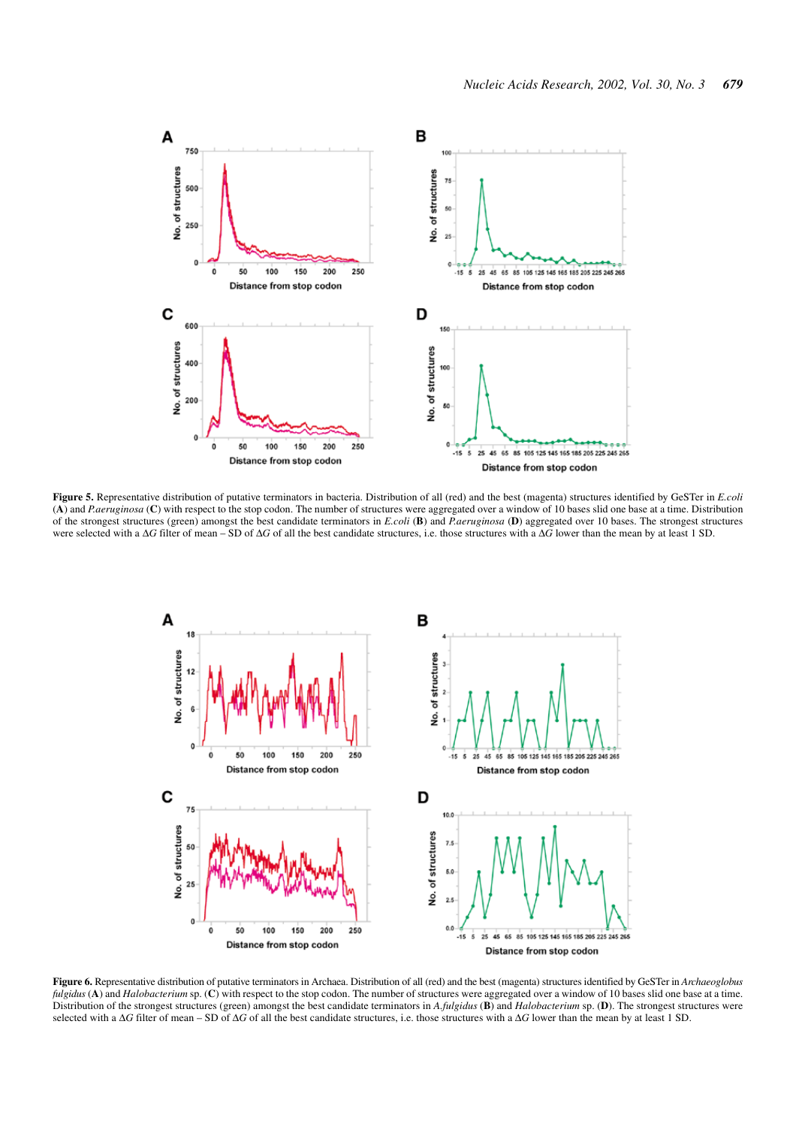

**Figure 5.** Representative distribution of putative terminators in bacteria. Distribution of all (red) and the best (magenta) structures identified by GeSTer in *E.coli* (**A**) and *P.aeruginosa* (**C**) with respect to the stop codon. The number of structures were aggregated over a window of 10 bases slid one base at a time. Distribution of the strongest structures (green) amongst the best candidate terminators in *E.coli* (**B**) and *P.aeruginosa* (**D**) aggregated over 10 bases. The strongest structures were selected with a ∆*G* filter of mean – SD of ∆*G* of all the best candidate structures, i.e. those structures with a ∆*G* lower than the mean by at least 1 SD.



**Figure 6.** Representative distribution of putative terminators in Archaea. Distribution of all (red) and the best (magenta) structures identified by GeSTer in *Archaeoglobus fulgidus* (**A**) and *Halobacterium* sp. (**C**) with respect to the stop codon. The number of structures were aggregated over a window of 10 bases slid one base at a time. Distribution of the strongest structures (green) amongst the best candidate terminators in *A.fulgidus* (**B**) and *Halobacterium* sp. (**D**). The strongest structures were selected with a ∆*G* filter of mean – SD of ∆*G* of all the best candidate structures, i.e. those structures with a ∆*G* lower than the mean by at least 1 SD.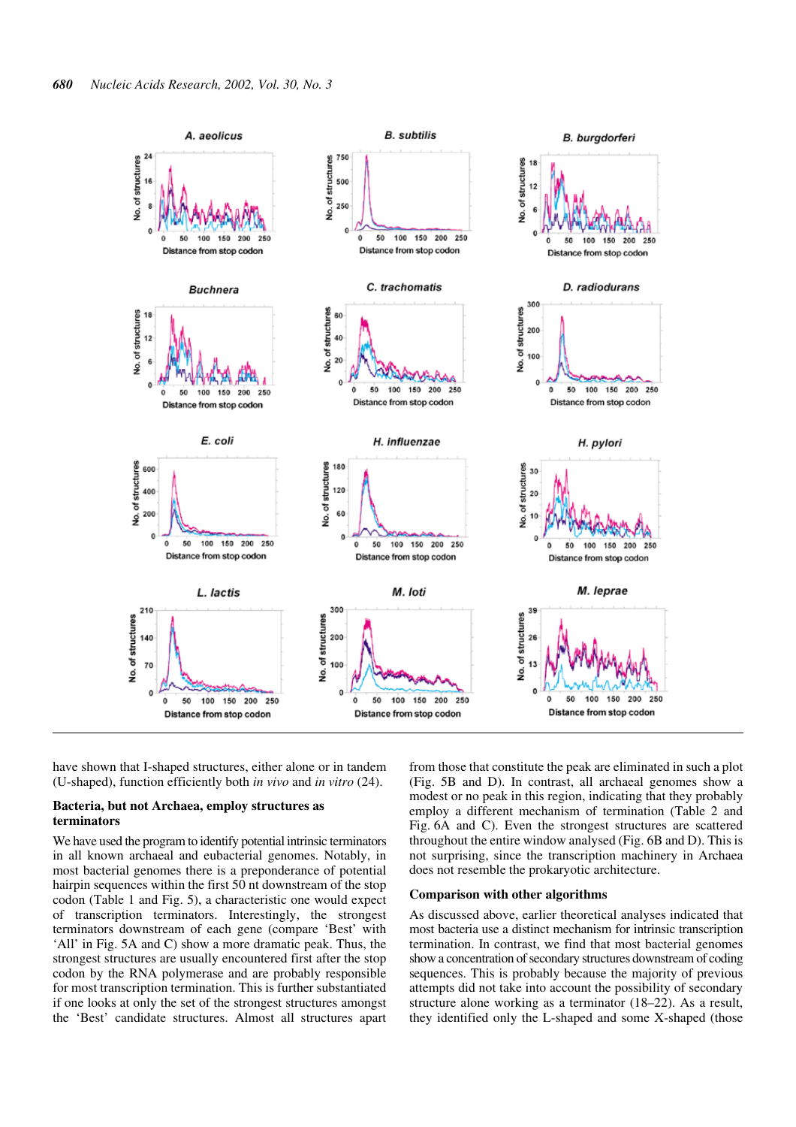

have shown that I-shaped structures, either alone or in tandem (U-shaped), function efficiently both *in vivo* and *in vitro* (24).

#### **Bacteria, but not Archaea, employ structures as terminators**

We have used the program to identify potential intrinsic terminators in all known archaeal and eubacterial genomes. Notably, in most bacterial genomes there is a preponderance of potential hairpin sequences within the first 50 nt downstream of the stop codon (Table 1 and Fig. 5), a characteristic one would expect of transcription terminators. Interestingly, the strongest terminators downstream of each gene (compare 'Best' with 'All' in Fig. 5A and C) show a more dramatic peak. Thus, the strongest structures are usually encountered first after the stop codon by the RNA polymerase and are probably responsible for most transcription termination. This is further substantiated if one looks at only the set of the strongest structures amongst the 'Best' candidate structures. Almost all structures apart from those that constitute the peak are eliminated in such a plot (Fig. 5B and D). In contrast, all archaeal genomes show a modest or no peak in this region, indicating that they probably employ a different mechanism of termination (Table 2 and Fig. 6A and C). Even the strongest structures are scattered throughout the entire window analysed (Fig. 6B and D). This is not surprising, since the transcription machinery in Archaea does not resemble the prokaryotic architecture.

#### **Comparison with other algorithms**

As discussed above, earlier theoretical analyses indicated that most bacteria use a distinct mechanism for intrinsic transcription termination. In contrast, we find that most bacterial genomes show a concentration of secondary structures downstream of coding sequences. This is probably because the majority of previous attempts did not take into account the possibility of secondary structure alone working as a terminator (18–22). As a result, they identified only the L-shaped and some X-shaped (those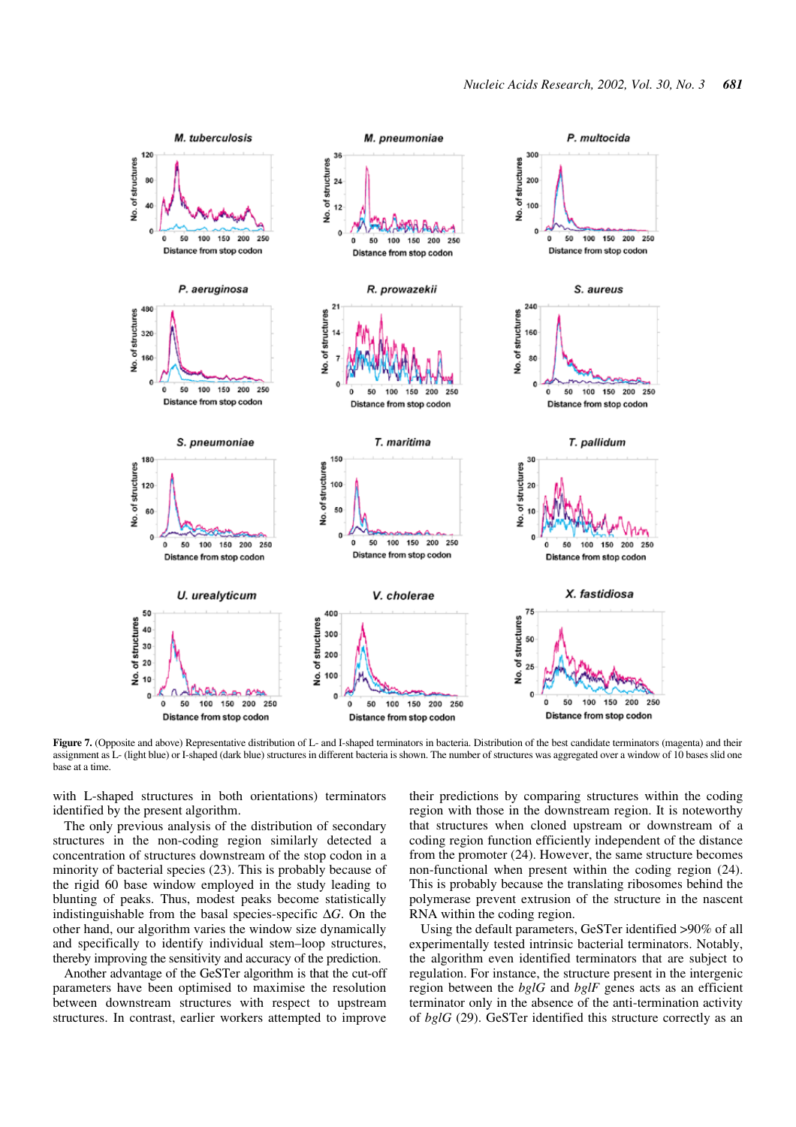

**Figure 7.** (Opposite and above) Representative distribution of L- and I-shaped terminators in bacteria. Distribution of the best candidate terminators (magenta) and their assignment as L- (light blue) or I-shaped (dark blue) structures in different bacteria is shown. The number of structures was aggregated over a window of 10 bases slid one base at a time.

with L-shaped structures in both orientations) terminators identified by the present algorithm.

The only previous analysis of the distribution of secondary structures in the non-coding region similarly detected a concentration of structures downstream of the stop codon in a minority of bacterial species (23). This is probably because of the rigid 60 base window employed in the study leading to blunting of peaks. Thus, modest peaks become statistically indistinguishable from the basal species-specific ∆*G*. On the other hand, our algorithm varies the window size dynamically and specifically to identify individual stem–loop structures, thereby improving the sensitivity and accuracy of the prediction.

Another advantage of the GeSTer algorithm is that the cut-off parameters have been optimised to maximise the resolution between downstream structures with respect to upstream structures. In contrast, earlier workers attempted to improve

their predictions by comparing structures within the coding region with those in the downstream region. It is noteworthy that structures when cloned upstream or downstream of a coding region function efficiently independent of the distance from the promoter (24). However, the same structure becomes non-functional when present within the coding region (24). This is probably because the translating ribosomes behind the polymerase prevent extrusion of the structure in the nascent RNA within the coding region.

Using the default parameters, GeSTer identified >90% of all experimentally tested intrinsic bacterial terminators. Notably, the algorithm even identified terminators that are subject to regulation. For instance, the structure present in the intergenic region between the *bglG* and *bglF* genes acts as an efficient terminator only in the absence of the anti-termination activity of *bglG* (29). GeSTer identified this structure correctly as an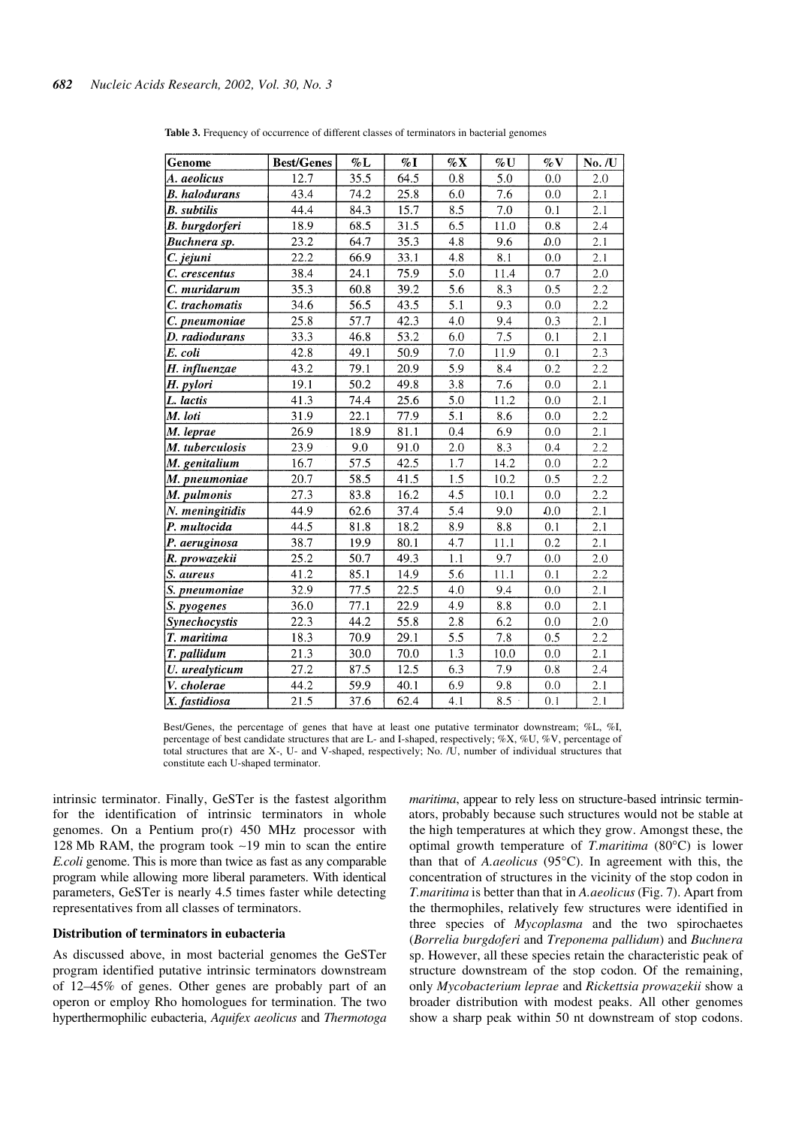| Genome                | <b>Best/Genes</b> | $\% \mathbf{L}$ | $\%$ I | $\% X$ | %U      | $\%$ V  | No. /U  |
|-----------------------|-------------------|-----------------|--------|--------|---------|---------|---------|
| A. aeolicus           | 12.7              | 35.5            | 64.5   | 0.8    | 5.0     | 0.0     | 2.0     |
| <b>B.</b> halodurans  | 43.4              | 74.2            | 25.8   | 6.0    | 7.6     | $0.0\,$ | 2.1     |
| <b>B.</b> subtilis    | 44.4              | 84.3            | 15.7   | 8.5    | 7.0     | 0.1     | 2.1     |
| <b>B.</b> burgdorferi | 18.9              | 68.5            | 31.5   | 6.5    | 11.0    | 0.8     | 2.4     |
| Buchnera sp.          | 23.2              | 64.7            | 35.3   | 4.8    | 9.6     | 0.0     | 2.1     |
| C. jejuni             | 22.2              | 66.9            | 33.1   | 4.8    | 8.1     | 0.0     | 2.1     |
| C. crescentus         | 38.4              | 24.1            | 75.9   | 5.0    | 11.4    | 0.7     | 2.0     |
| C. muridarum          | 35.3              | 60.8            | 39.2   | 5.6    | 8.3     | 0.5     | 2.2     |
| C. trachomatis        | 34.6              | 56.5            | 43.5   | 5.1    | 9.3     | 0.0     | 2.2     |
| C. pneumoniae         | 25.8              | 57.7            | 42.3   | 4.0    | 9.4     | 0.3     | 2.1     |
| D. radiodurans        | 33.3              | 46.8            | 53.2   | 6.0    | 7.5     | 0.1     | 2.1     |
| E. coli               | 42.8              | 49.1            | 50.9   | 7.0    | 11.9    | 0.1     | 2.3     |
| H. influenzae         | 43.2              | 79.1            | 20.9   | 5.9    | 8.4     | 0.2     | 2.2     |
| H. pylori             | 19.1              | 50.2            | 49.8   | 3.8    | 7.6     | 0.0     | 2.1     |
| L. lactis             | 41.3              | 74.4            | 25.6   | 5.0    | 11.2    | 0.0     | 2.1     |
| M. loti               | 31.9              | 22.1            | 77.9   | 5.1    | $8.6\,$ | 0.0     | 2.2     |
| M. leprae             | 26.9              | 18.9            | 81.1   | 0.4    | 6.9     | 0.0     | 2.1     |
| M. tuberculosis       | 23.9              | 9.0             | 91.0   | 2.0    | 8.3     | 0.4     | 2.2     |
| M. genitalium         | 16.7              | 57.5            | 42.5   | 1.7    | 14.2    | 0.0     | 2.2     |
| M. pneumoniae         | 20.7              | 58.5            | 41.5   | 1.5    | 10.2    | 0.5     | 2.2     |
| M. pulmonis           | 27.3              | 83.8            | 16.2   | 4.5    | 10.1    | $0.0\,$ | 2.2     |
| N. meningitidis       | 44.9              | 62.6            | 37.4   | 5.4    | 9.0     | 0.0     | 2.1     |
| P. multocida          | 44.5              | 81.8            | 18.2   | 8.9    | 8.8     | 0.1     | 2.1     |
| P. aeruginosa         | 38.7              | 19.9            | 80.1   | 4.7    | 11.1    | 0.2     | 2.1     |
| R. prowazekii         | 25.2              | 50.7            | 49.3   | 1.1    | 9.7     | 0.0     | $2.0\,$ |
| S. aureus             | 41.2              | 85.1            | 14.9   | 5.6    | 11.1    | 0.1     | 2.2     |
| S. pneumoniae         | 32.9              | 77.5            | 22.5   | 4.0    | 9.4     | 0.0     | 2.1     |
| S. pyogenes           | 36.0              | 77.1            | 22.9   | 4.9    | $8.8\,$ | 0.0     | 2.1     |
| Synechocystis         | 22.3              | 44.2            | 55.8   | 2.8    | 6.2     | 0.0     | 2.0     |
| T. maritima           | 18.3              | 70.9            | 29.1   | 5.5    | 7.8     | 0.5     | 2.2     |
| T. pallidum           | 21.3              | 30.0            | 70.0   | 1.3    | 10.0    | 0.0     | 2.1     |
| U. urealyticum        | 27.2              | 87.5            | 12.5   | 6.3    | 7.9     | $0.8\,$ | 2.4     |
| V. cholerae           | 44.2              | 59.9            | 40.1   | 6.9    | 9.8     | 0.0     | 2.1     |
| X. fastidiosa         | 21.5              | 37.6            | 62.4   | 4.1    | 8.5     | 0.1     | 2.1     |

**Table 3.** Frequency of occurrence of different classes of terminators in bacterial genomes

Best/Genes, the percentage of genes that have at least one putative terminator downstream; %L, %I, percentage of best candidate structures that are L- and I-shaped, respectively; %X, %U, %V, percentage of total structures that are X-, U- and V-shaped, respectively; No. /U, number of individual structures that constitute each U-shaped terminator.

intrinsic terminator. Finally, GeSTer is the fastest algorithm for the identification of intrinsic terminators in whole genomes. On a Pentium pro(r) 450 MHz processor with 128 Mb RAM, the program took ∼19 min to scan the entire *E.coli* genome. This is more than twice as fast as any comparable program while allowing more liberal parameters. With identical parameters, GeSTer is nearly 4.5 times faster while detecting representatives from all classes of terminators.

#### **Distribution of terminators in eubacteria**

As discussed above, in most bacterial genomes the GeSTer program identified putative intrinsic terminators downstream of 12–45% of genes. Other genes are probably part of an operon or employ Rho homologues for termination. The two hyperthermophilic eubacteria, *Aquifex aeolicus* and *Thermotoga* *maritima*, appear to rely less on structure-based intrinsic terminators, probably because such structures would not be stable at the high temperatures at which they grow. Amongst these, the optimal growth temperature of *T.maritima* (80°C) is lower than that of *A.aeolicus* (95°C). In agreement with this, the concentration of structures in the vicinity of the stop codon in *T.maritima* is better than that in *A.aeolicus* (Fig. 7). Apart from the thermophiles, relatively few structures were identified in three species of *Mycoplasma* and the two spirochaetes (*Borrelia burgdoferi* and *Treponema pallidum*) and *Buchnera* sp. However, all these species retain the characteristic peak of structure downstream of the stop codon. Of the remaining, only *Mycobacterium leprae* and *Rickettsia prowazekii* show a broader distribution with modest peaks. All other genomes show a sharp peak within 50 nt downstream of stop codons.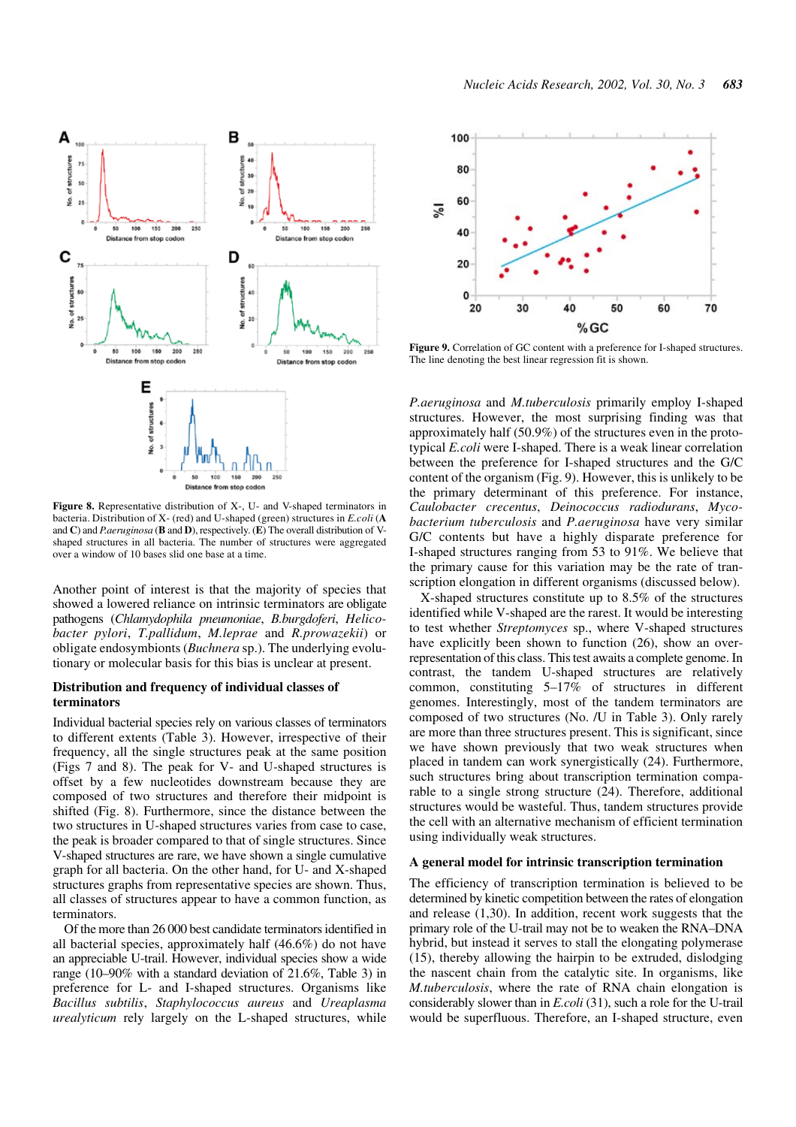

**Figure 8.** Representative distribution of X-, U- and V-shaped terminators in bacteria. Distribution of X- (red) and U-shaped (green) structures in *E.coli* (**A** and **C**) and *P.aeruginosa* (**B** and **D**), respectively. (**E**) The overall distribution of Vshaped structures in all bacteria. The number of structures were aggregated over a window of 10 bases slid one base at a time.

Another point of interest is that the majority of species that showed a lowered reliance on intrinsic terminators are obligate pathogens (*Chlamydophila pneumoniae*, *B.burgdoferi*, *Helicobacter pylori*, *T.pallidum*, *M.leprae* and *R.prowazekii*) or obligate endosymbionts (*Buchnera* sp.). The underlying evolutionary or molecular basis for this bias is unclear at present.

#### **Distribution and frequency of individual classes of terminators**

Individual bacterial species rely on various classes of terminators to different extents (Table 3). However, irrespective of their frequency, all the single structures peak at the same position (Figs 7 and 8). The peak for V- and U-shaped structures is offset by a few nucleotides downstream because they are composed of two structures and therefore their midpoint is shifted (Fig. 8). Furthermore, since the distance between the two structures in U-shaped structures varies from case to case, the peak is broader compared to that of single structures. Since V-shaped structures are rare, we have shown a single cumulative graph for all bacteria. On the other hand, for U- and X-shaped structures graphs from representative species are shown. Thus, all classes of structures appear to have a common function, as terminators.

Of the more than 26 000 best candidate terminators identified in all bacterial species, approximately half (46.6%) do not have an appreciable U-trail. However, individual species show a wide range (10–90% with a standard deviation of 21.6%, Table 3) in preference for L- and I-shaped structures. Organisms like *Bacillus subtilis*, *Staphylococcus aureus* and *Ureaplasma urealyticum* rely largely on the L-shaped structures, while



**Figure 9.** Correlation of GC content with a preference for I-shaped structures. The line denoting the best linear regression fit is shown.

*P.aeruginosa* and *M.tuberculosis* primarily employ I-shaped structures. However, the most surprising finding was that approximately half (50.9%) of the structures even in the prototypical *E.coli* were I-shaped. There is a weak linear correlation between the preference for I-shaped structures and the G/C content of the organism (Fig. 9). However, this is unlikely to be the primary determinant of this preference. For instance, *Caulobacter crecentus*, *Deinococcus radiodurans*, *Mycobacterium tuberculosis* and *P.aeruginosa* have very similar G/C contents but have a highly disparate preference for I-shaped structures ranging from 53 to 91%. We believe that the primary cause for this variation may be the rate of transcription elongation in different organisms (discussed below).

X-shaped structures constitute up to 8.5% of the structures identified while V-shaped are the rarest. It would be interesting to test whether *Streptomyces* sp., where V-shaped structures have explicitly been shown to function (26), show an overrepresentation of this class. This test awaits a complete genome. In contrast, the tandem U-shaped structures are relatively common, constituting 5–17% of structures in different genomes. Interestingly, most of the tandem terminators are composed of two structures (No. /U in Table 3). Only rarely are more than three structures present. This is significant, since we have shown previously that two weak structures when placed in tandem can work synergistically (24). Furthermore, such structures bring about transcription termination comparable to a single strong structure (24). Therefore, additional structures would be wasteful. Thus, tandem structures provide the cell with an alternative mechanism of efficient termination using individually weak structures.

#### **A general model for intrinsic transcription termination**

The efficiency of transcription termination is believed to be determined by kinetic competition between the rates of elongation and release (1,30). In addition, recent work suggests that the primary role of the U-trail may not be to weaken the RNA–DNA hybrid, but instead it serves to stall the elongating polymerase (15), thereby allowing the hairpin to be extruded, dislodging the nascent chain from the catalytic site. In organisms, like *M.tuberculosis*, where the rate of RNA chain elongation is considerably slower than in *E.coli* (31), such a role for the U-trail would be superfluous. Therefore, an I-shaped structure, even